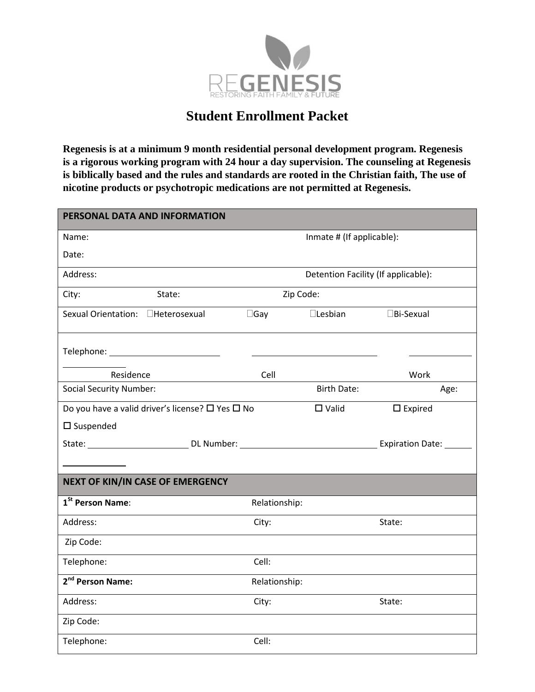

## **Student Enrollment Packet**

**Regenesis is at a minimum 9 month residential personal development program. Regenesis is a rigorous working program with 24 hour a day supervision. The counseling at Regenesis is biblically based and the rules and standards are rooted in the Christian faith, The use of nicotine products or psychotropic medications are not permitted at Regenesis.**

| PERSONAL DATA AND INFORMATION                                    |                           |               |                                     |                     |  |  |  |  |  |
|------------------------------------------------------------------|---------------------------|---------------|-------------------------------------|---------------------|--|--|--|--|--|
| Name:                                                            | Inmate # (If applicable): |               |                                     |                     |  |  |  |  |  |
| Date:                                                            |                           |               |                                     |                     |  |  |  |  |  |
| Address:                                                         |                           |               | Detention Facility (If applicable): |                     |  |  |  |  |  |
| City:                                                            | State:                    | Zip Code:     |                                     |                     |  |  |  |  |  |
| Sexual Orientation: <b>Heterosexual</b>                          |                           | $\Box$ Gay    | $\square$ Lesbian                   | $\square$ Bi-Sexual |  |  |  |  |  |
|                                                                  |                           |               |                                     |                     |  |  |  |  |  |
| Residence                                                        |                           | Cell          |                                     | Work                |  |  |  |  |  |
| <b>Social Security Number:</b>                                   |                           |               | <b>Birth Date:</b>                  | Age:                |  |  |  |  |  |
| Do you have a valid driver's license? $\square$ Yes $\square$ No |                           |               | $\square$ Valid                     | $\square$ Expired   |  |  |  |  |  |
| $\square$ Suspended                                              |                           |               |                                     |                     |  |  |  |  |  |
|                                                                  |                           |               |                                     |                     |  |  |  |  |  |
|                                                                  |                           |               |                                     |                     |  |  |  |  |  |
| NEXT OF KIN/IN CASE OF EMERGENCY                                 |                           |               |                                     |                     |  |  |  |  |  |
| 1 <sup>St</sup> Person Name:                                     |                           | Relationship: |                                     |                     |  |  |  |  |  |
| Address:                                                         |                           | City:         |                                     | State:              |  |  |  |  |  |
| Zip Code:                                                        |                           |               |                                     |                     |  |  |  |  |  |
| Telephone:                                                       |                           | Cell:         |                                     |                     |  |  |  |  |  |
| 2 <sup>nd</sup> Person Name:                                     |                           | Relationship: |                                     |                     |  |  |  |  |  |
| Address:                                                         |                           | City:         |                                     | State:              |  |  |  |  |  |
| Zip Code:                                                        |                           |               |                                     |                     |  |  |  |  |  |
| Telephone:                                                       |                           | Cell:         |                                     |                     |  |  |  |  |  |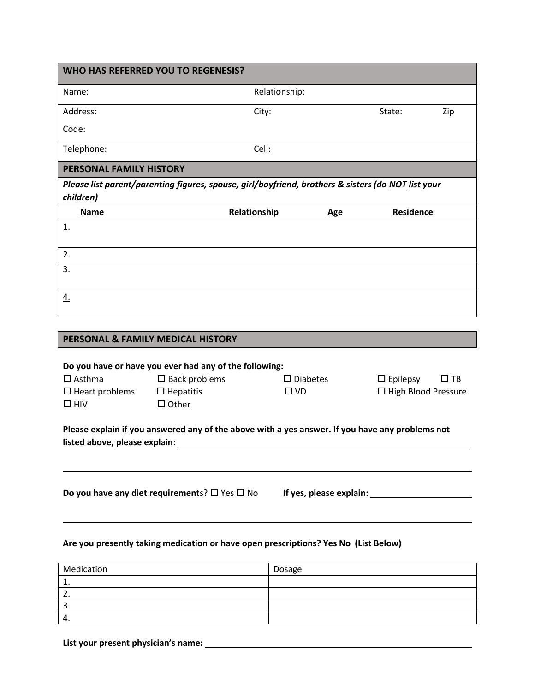|                                        | WHO HAS REFERRED YOU TO REGENESIS?                                                                 |               |                    |                       |           |
|----------------------------------------|----------------------------------------------------------------------------------------------------|---------------|--------------------|-----------------------|-----------|
| Name:                                  |                                                                                                    | Relationship: |                    |                       |           |
| Address:                               |                                                                                                    | City:         |                    | State:                | Zip       |
| Code:                                  |                                                                                                    |               |                    |                       |           |
| Telephone:                             |                                                                                                    | Cell:         |                    |                       |           |
| PERSONAL FAMILY HISTORY                |                                                                                                    |               |                    |                       |           |
| children)                              | Please list parent/parenting figures, spouse, girl/boyfriend, brothers & sisters (do NOT list your |               |                    |                       |           |
| <b>Name</b>                            |                                                                                                    | Relationship  | Age                | Residence             |           |
| 1.                                     |                                                                                                    |               |                    |                       |           |
| 2.                                     |                                                                                                    |               |                    |                       |           |
| 3.                                     |                                                                                                    |               |                    |                       |           |
| <u>4.</u>                              |                                                                                                    |               |                    |                       |           |
|                                        |                                                                                                    |               |                    |                       |           |
|                                        | PERSONAL & FAMILY MEDICAL HISTORY                                                                  |               |                    |                       |           |
|                                        | Do you have or have you ever had any of the following:                                             |               |                    |                       |           |
| $\square$ Asthma                       | $\square$ Back problems                                                                            |               | $\square$ Diabetes | $\Box$ Epilepsy       | $\Box$ TB |
| $\square$ Heart problems<br>$\Box$ HIV | $\Box$ Hepatitis<br>$\Box$ Other                                                                   | $\square$ VD  |                    | □ High Blood Pressure |           |
| listed above, please explain:          | Please explain if you answered any of the above with a yes answer. If you have any problems not    |               |                    |                       |           |
|                                        |                                                                                                    |               |                    |                       |           |
|                                        | Do you have any diet requirements? $\square$ Yes $\square$ No                                      |               |                    |                       |           |
|                                        |                                                                                                    |               |                    |                       |           |

### **Are you presently taking medication or have open prescriptions? Yes No (List Below)**

| Medication       | Dosage |
|------------------|--------|
|                  |        |
| <u>.</u>         |        |
| . پ              |        |
| $\sqrt{ }$<br>∸. |        |

**List your present physician's name:**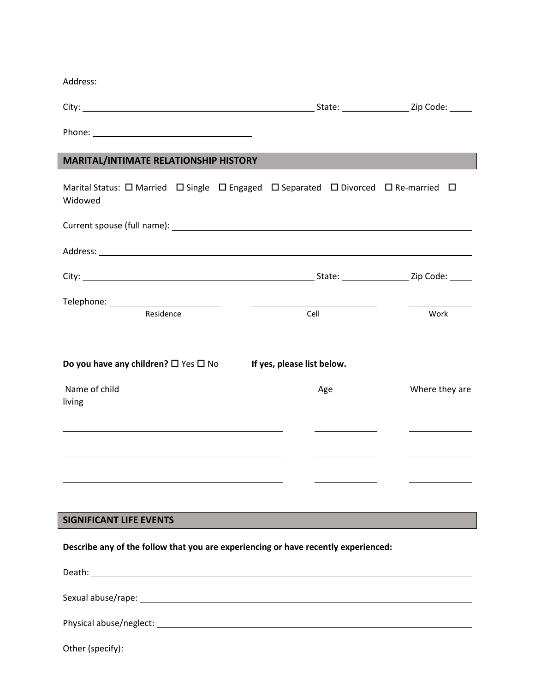| <b>MARITAL/INTIMATE RELATIONSHIP HISTORY</b>                                                                                     |                            |                |
|----------------------------------------------------------------------------------------------------------------------------------|----------------------------|----------------|
| Marital Status: $\Box$ Married $\Box$ Single $\Box$ Engaged $\Box$ Separated $\Box$ Divorced $\Box$ Re-married $\Box$<br>Widowed |                            |                |
|                                                                                                                                  |                            |                |
|                                                                                                                                  |                            |                |
|                                                                                                                                  |                            |                |
| Telephone: ___________________________<br>Residence                                                                              | Cell                       | Work           |
| Do you have any children? $\square$ Yes $\square$ No                                                                             | If yes, please list below. |                |
| Name of child<br>living                                                                                                          | Age                        | Where they are |
|                                                                                                                                  |                            |                |
|                                                                                                                                  |                            |                |
|                                                                                                                                  |                            |                |
| <b>SIGNIFICANT LIFE EVENTS</b>                                                                                                   |                            |                |
|                                                                                                                                  |                            |                |

**Describe any of the follow that you are experiencing or have recently experienced:**

| Physical abuse/neglect: The contract of the contract of the contract of the contract of the contract of the contract of the contract of the contract of the contract of the contract of the contract of the contract of the co |
|--------------------------------------------------------------------------------------------------------------------------------------------------------------------------------------------------------------------------------|
|                                                                                                                                                                                                                                |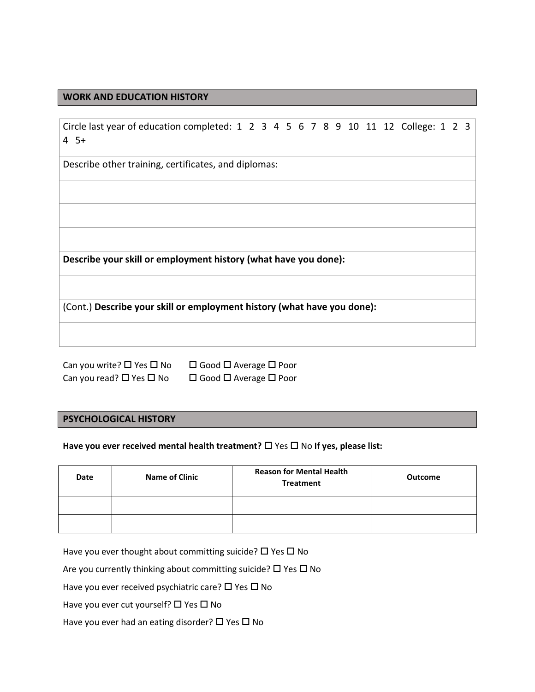#### **WORK AND EDUCATION HISTORY**

| Circle last year of education completed: 1 2 3 4 5 6 7 8 9 10 11 12 College: 1 2 3<br>$4 \, 5+$                                                             |  |  |  |  |  |  |  |  |
|-------------------------------------------------------------------------------------------------------------------------------------------------------------|--|--|--|--|--|--|--|--|
| Describe other training, certificates, and diplomas:                                                                                                        |  |  |  |  |  |  |  |  |
|                                                                                                                                                             |  |  |  |  |  |  |  |  |
| Describe your skill or employment history (what have you done):                                                                                             |  |  |  |  |  |  |  |  |
| (Cont.) Describe your skill or employment history (what have you done):                                                                                     |  |  |  |  |  |  |  |  |
| $Conv(1, 0) \sqcup \emptyset$ $\sqcap$ $\sqcup$ $\sqcap$ $\sqcap$ $\sqcap$ $\sqcap$ $\sqcap$ $\sqcap$ $\sqcap$ $\sqcap$ $\sqcap$ $\sqcap$ $\sqcap$ $\sqcap$ |  |  |  |  |  |  |  |  |

Can you read?  $\square$  Yes  $\square$  No  $\square$  Good  $\square$  Average  $\square$  Poor

Can you write?  $\Box$  Yes  $\Box$  No  $\Box$  Good  $\Box$  Average  $\Box$  Poor

#### **PSYCHOLOGICAL HISTORY**

Have you ever received mental health treatment? □ Yes □ No If yes, please list:

| Date | <b>Name of Clinic</b> | <b>Reason for Mental Health</b><br><b>Treatment</b> | Outcome |
|------|-----------------------|-----------------------------------------------------|---------|
|      |                       |                                                     |         |
|      |                       |                                                     |         |

Have you ever thought about committing suicide?  $\Box$  Yes  $\Box$  No

Are you currently thinking about committing suicide?  $\Box$  Yes  $\Box$  No

Have you ever received psychiatric care?  $\square$  Yes  $\square$  No

Have you ever cut yourself?  $\square$  Yes  $\square$  No

Have you ever had an eating disorder?  $\Box$  Yes  $\Box$  No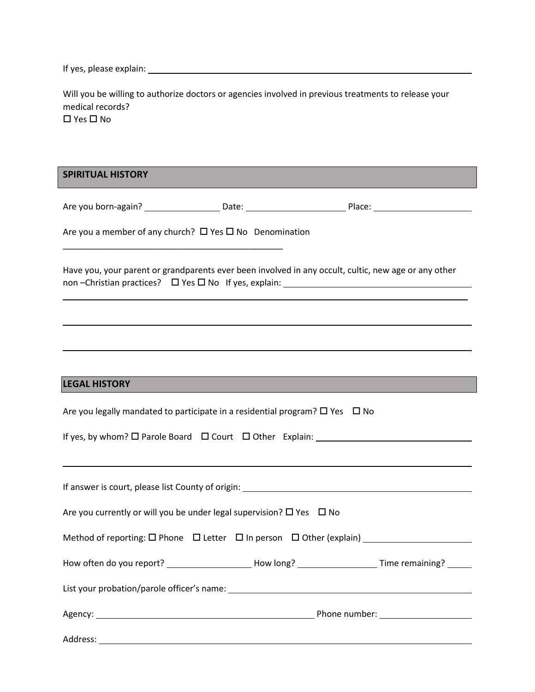If yes, please explain:

Will you be willing to authorize doctors or agencies involved in previous treatments to release your medical records?  $\square$  Yes  $\square$  No

**SPIRITUAL HISTORY**

Are you born-again? Date: Place:

Are you a member of any church?  $\Box$  Yes  $\Box$  No Denomination

\_\_\_\_\_\_\_\_\_\_\_\_\_\_\_\_\_\_\_\_\_\_\_\_\_\_\_\_\_\_\_\_\_\_\_\_\_\_\_\_\_\_\_\_\_\_

Have you, your parent or grandparents ever been involved in any occult, cultic, new age or any other non –Christian practices? Yes No If yes, explain:

\_\_\_\_\_\_\_\_\_\_\_\_\_\_\_\_\_\_\_\_\_\_\_\_\_\_\_\_\_\_\_\_\_\_\_\_\_\_\_\_\_\_\_\_\_\_\_\_\_\_\_\_\_\_\_\_\_\_\_\_\_\_\_\_\_\_\_\_\_\_\_\_\_\_\_\_\_\_

**LEGAL HISTORY**

| Are you legally mandated to participate in a residential program? $\Box$ Yes $\Box$ No              |
|-----------------------------------------------------------------------------------------------------|
|                                                                                                     |
|                                                                                                     |
|                                                                                                     |
| Are you currently or will you be under legal supervision? $\square$ Yes $\square$ No                |
| Method of reporting: $\square$ Phone $\square$ Letter $\square$ In person $\square$ Other (explain) |
| How often do you report? ____________________How long? ______________________Time remaining? ______ |
|                                                                                                     |
|                                                                                                     |
| Address:                                                                                            |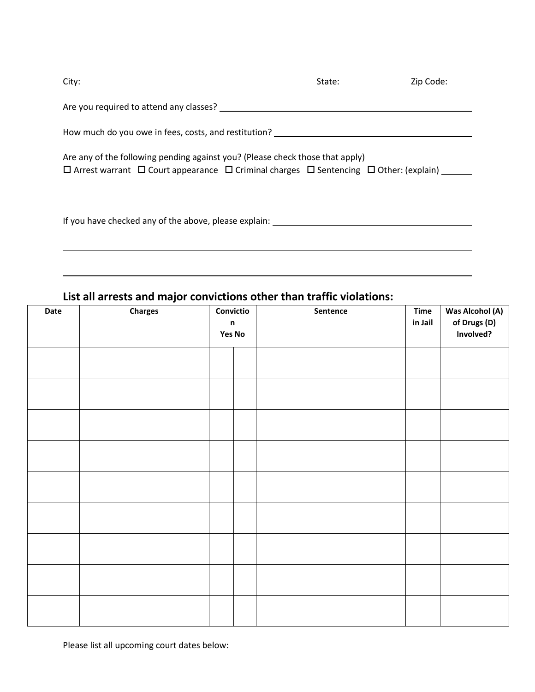| Are you required to attend any classes? The contract of the contract of the contract of the contract of the contract of the contract of the contract of the contract of the contract of the contract of the contract of the co |  |
|--------------------------------------------------------------------------------------------------------------------------------------------------------------------------------------------------------------------------------|--|
| How much do you owe in fees, costs, and restitution? The manufacturer of the state of the state of the state of                                                                                                                |  |
| Are any of the following pending against you? (Please check those that apply)<br>$\Box$ Arrest warrant $\Box$ Court appearance $\Box$ Criminal charges $\Box$ Sentencing $\Box$ Other: (explain)                               |  |
| If you have checked any of the above, please explain: __________________________                                                                                                                                               |  |

# **List all arrests and major convictions other than traffic violations:**

| Date | <b>Charges</b> | Convictio<br>$\mathsf n$<br><b>Yes No</b> |  | Sentence | Time<br>in Jail | <b>Was Alcohol (A)</b><br>of Drugs (D)<br>Involved? |
|------|----------------|-------------------------------------------|--|----------|-----------------|-----------------------------------------------------|
|      |                |                                           |  |          |                 |                                                     |
|      |                |                                           |  |          |                 |                                                     |
|      |                |                                           |  |          |                 |                                                     |
|      |                |                                           |  |          |                 |                                                     |
|      |                |                                           |  |          |                 |                                                     |
|      |                |                                           |  |          |                 |                                                     |
|      |                |                                           |  |          |                 |                                                     |
|      |                |                                           |  |          |                 |                                                     |
|      |                |                                           |  |          |                 |                                                     |

Please list all upcoming court dates below: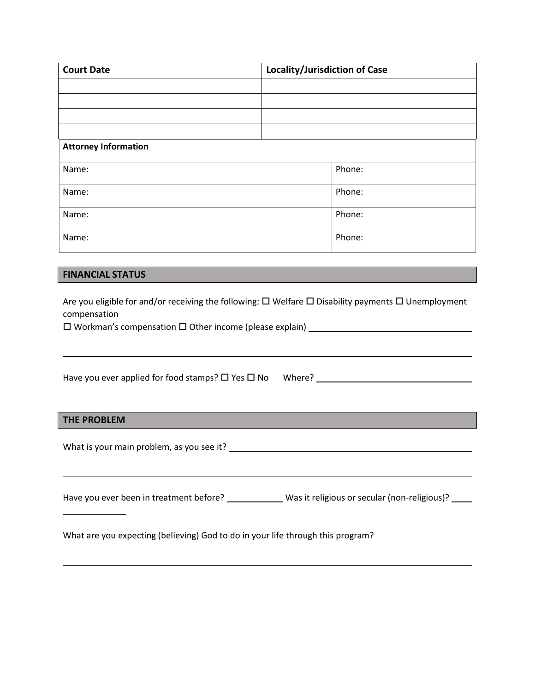| <b>Court Date</b>                                                                                                                                                                                                      | Locality/Jurisdiction of Case |        |  |  |  |  |
|------------------------------------------------------------------------------------------------------------------------------------------------------------------------------------------------------------------------|-------------------------------|--------|--|--|--|--|
|                                                                                                                                                                                                                        |                               |        |  |  |  |  |
|                                                                                                                                                                                                                        |                               |        |  |  |  |  |
|                                                                                                                                                                                                                        |                               |        |  |  |  |  |
| <b>Attorney Information</b>                                                                                                                                                                                            |                               |        |  |  |  |  |
| Name:                                                                                                                                                                                                                  |                               | Phone: |  |  |  |  |
| Name:                                                                                                                                                                                                                  |                               | Phone: |  |  |  |  |
| Name:                                                                                                                                                                                                                  |                               | Phone: |  |  |  |  |
| Name:                                                                                                                                                                                                                  |                               | Phone: |  |  |  |  |
|                                                                                                                                                                                                                        |                               |        |  |  |  |  |
| <b>FINANCIAL STATUS</b>                                                                                                                                                                                                |                               |        |  |  |  |  |
| Are you eligible for and/or receiving the following: $\Box$ Welfare $\Box$ Disability payments $\Box$ Unemployment<br>compensation<br>□ Workman's compensation □ Other income (please explain) _______________________ |                               |        |  |  |  |  |
| Have you ever applied for food stamps? $\square$ Yes $\square$ No Where?                                                                                                                                               |                               |        |  |  |  |  |
| <b>THE PROBLEM</b>                                                                                                                                                                                                     |                               |        |  |  |  |  |
|                                                                                                                                                                                                                        |                               |        |  |  |  |  |
|                                                                                                                                                                                                                        |                               |        |  |  |  |  |

Have you ever been in treatment before? \_\_\_\_\_\_\_\_\_\_\_\_\_ Was it religious or secular (non-religious)? \_\_\_\_\_

What are you expecting (believing) God to do in your life through this program? \_\_\_\_\_\_\_\_\_\_\_\_\_\_\_\_\_\_\_\_\_\_\_\_\_\_\_\_\_\_